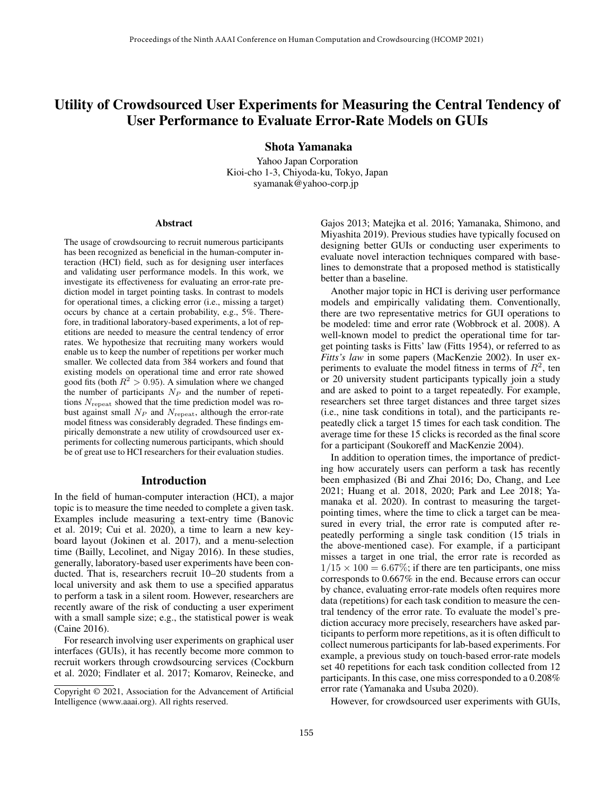# Utility of Crowdsourced User Experiments for Measuring the Central Tendency of User Performance to Evaluate Error-Rate Models on GUIs

Shota Yamanaka

Yahoo Japan Corporation Kioi-cho 1-3, Chiyoda-ku, Tokyo, Japan syamanak@yahoo-corp.jp

#### Abstract

The usage of crowdsourcing to recruit numerous participants has been recognized as beneficial in the human-computer interaction (HCI) field, such as for designing user interfaces and validating user performance models. In this work, we investigate its effectiveness for evaluating an error-rate prediction model in target pointing tasks. In contrast to models for operational times, a clicking error (i.e., missing a target) occurs by chance at a certain probability, e.g., 5%. Therefore, in traditional laboratory-based experiments, a lot of repetitions are needed to measure the central tendency of error rates. We hypothesize that recruiting many workers would enable us to keep the number of repetitions per worker much smaller. We collected data from 384 workers and found that existing models on operational time and error rate showed good fits (both  $R^2 > 0.95$ ). A simulation where we changed the number of participants  $N_P$  and the number of repetitions  $N_{\text{repeat}}$  showed that the time prediction model was robust against small  $N_P$  and  $N_{\text{repeat}}$ , although the error-rate model fitness was considerably degraded. These findings empirically demonstrate a new utility of crowdsourced user experiments for collecting numerous participants, which should be of great use to HCI researchers for their evaluation studies.

#### Introduction

In the field of human-computer interaction (HCI), a major topic is to measure the time needed to complete a given task. Examples include measuring a text-entry time (Banovic et al. 2019; Cui et al. 2020), a time to learn a new keyboard layout (Jokinen et al. 2017), and a menu-selection time (Bailly, Lecolinet, and Nigay 2016). In these studies, generally, laboratory-based user experiments have been conducted. That is, researchers recruit 10–20 students from a local university and ask them to use a specified apparatus to perform a task in a silent room. However, researchers are recently aware of the risk of conducting a user experiment with a small sample size; e.g., the statistical power is weak (Caine 2016).

For research involving user experiments on graphical user interfaces (GUIs), it has recently become more common to recruit workers through crowdsourcing services (Cockburn et al. 2020; Findlater et al. 2017; Komarov, Reinecke, and

Gajos 2013; Matejka et al. 2016; Yamanaka, Shimono, and Miyashita 2019). Previous studies have typically focused on designing better GUIs or conducting user experiments to evaluate novel interaction techniques compared with baselines to demonstrate that a proposed method is statistically better than a baseline.

Another major topic in HCI is deriving user performance models and empirically validating them. Conventionally, there are two representative metrics for GUI operations to be modeled: time and error rate (Wobbrock et al. 2008). A well-known model to predict the operational time for target pointing tasks is Fitts' law (Fitts 1954), or referred to as *Fitts's law* in some papers (MacKenzie 2002). In user experiments to evaluate the model fitness in terms of  $R^2$ , ten or 20 university student participants typically join a study and are asked to point to a target repeatedly. For example, researchers set three target distances and three target sizes (i.e., nine task conditions in total), and the participants repeatedly click a target 15 times for each task condition. The average time for these 15 clicks is recorded as the final score for a participant (Soukoreff and MacKenzie 2004).

In addition to operation times, the importance of predicting how accurately users can perform a task has recently been emphasized (Bi and Zhai 2016; Do, Chang, and Lee 2021; Huang et al. 2018, 2020; Park and Lee 2018; Yamanaka et al. 2020). In contrast to measuring the targetpointing times, where the time to click a target can be measured in every trial, the error rate is computed after repeatedly performing a single task condition (15 trials in the above-mentioned case). For example, if a participant misses a target in one trial, the error rate is recorded as  $1/15 \times 100 = 6.67\%$ ; if there are ten participants, one miss corresponds to 0.667% in the end. Because errors can occur by chance, evaluating error-rate models often requires more data (repetitions) for each task condition to measure the central tendency of the error rate. To evaluate the model's prediction accuracy more precisely, researchers have asked participants to perform more repetitions, as it is often difficult to collect numerous participants for lab-based experiments. For example, a previous study on touch-based error-rate models set 40 repetitions for each task condition collected from 12 participants. In this case, one miss corresponded to a 0.208% error rate (Yamanaka and Usuba 2020).

However, for crowdsourced user experiments with GUIs,

Copyright © 2021, Association for the Advancement of Artificial Intelligence (www.aaai.org). All rights reserved.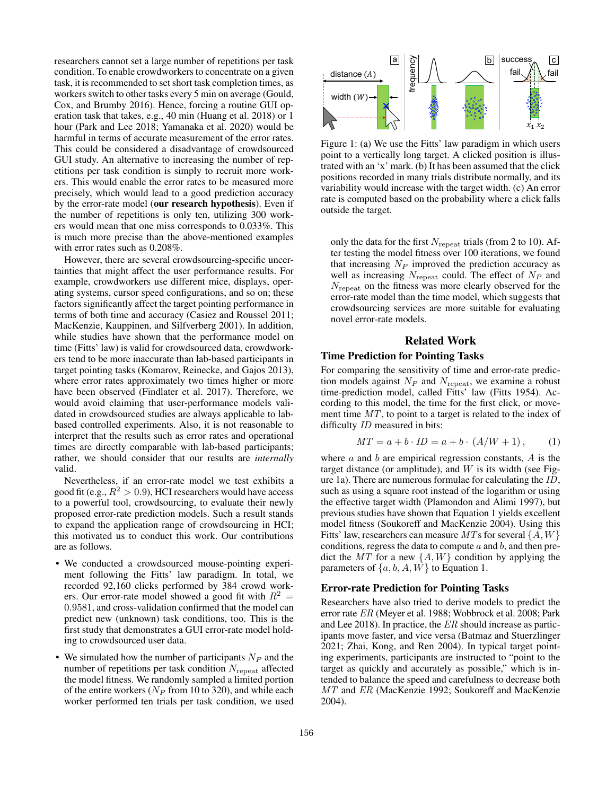researchers cannot set a large number of repetitions per task condition. To enable crowdworkers to concentrate on a given task, it is recommended to set short task completion times, as workers switch to other tasks every 5 min on average (Gould, Cox, and Brumby 2016). Hence, forcing a routine GUI operation task that takes, e.g., 40 min (Huang et al. 2018) or 1 hour (Park and Lee 2018; Yamanaka et al. 2020) would be harmful in terms of accurate measurement of the error rates. This could be considered a disadvantage of crowdsourced GUI study. An alternative to increasing the number of repetitions per task condition is simply to recruit more workers. This would enable the error rates to be measured more precisely, which would lead to a good prediction accuracy by the error-rate model (our research hypothesis). Even if the number of repetitions is only ten, utilizing 300 workers would mean that one miss corresponds to 0.033%. This is much more precise than the above-mentioned examples with error rates such as 0.208%.

However, there are several crowdsourcing-specific uncertainties that might affect the user performance results. For example, crowdworkers use different mice, displays, operating systems, cursor speed configurations, and so on; these factors significantly affect the target pointing performance in terms of both time and accuracy (Casiez and Roussel 2011; MacKenzie, Kauppinen, and Silfverberg 2001). In addition, while studies have shown that the performance model on time (Fitts' law) is valid for crowdsourced data, crowdworkers tend to be more inaccurate than lab-based participants in target pointing tasks (Komarov, Reinecke, and Gajos 2013), where error rates approximately two times higher or more have been observed (Findlater et al. 2017). Therefore, we would avoid claiming that user-performance models validated in crowdsourced studies are always applicable to labbased controlled experiments. Also, it is not reasonable to interpret that the results such as error rates and operational times are directly comparable with lab-based participants; rather, we should consider that our results are *internally* valid.

Nevertheless, if an error-rate model we test exhibits a good fit (e.g.,  $R^2 > 0.9$ ), HCI researchers would have access to a powerful tool, crowdsourcing, to evaluate their newly proposed error-rate prediction models. Such a result stands to expand the application range of crowdsourcing in HCI; this motivated us to conduct this work. Our contributions are as follows.

- We conducted a crowdsourced mouse-pointing experiment following the Fitts' law paradigm. In total, we recorded 92,160 clicks performed by 384 crowd workers. Our error-rate model showed a good fit with  $R^2 =$ 0.9581, and cross-validation confirmed that the model can predict new (unknown) task conditions, too. This is the first study that demonstrates a GUI error-rate model holding to crowdsourced user data.
- We simulated how the number of participants  $N_P$  and the number of repetitions per task condition  $N_{\text{repeat}}$  affected the model fitness. We randomly sampled a limited portion of the entire workers ( $N_P$  from 10 to 320), and while each worker performed ten trials per task condition, we used



Figure 1: (a) We use the Fitts' law paradigm in which users point to a vertically long target. A clicked position is illustrated with an 'x' mark. (b) It has been assumed that the click positions recorded in many trials distribute normally, and its variability would increase with the target width. (c) An error rate is computed based on the probability where a click falls outside the target.

only the data for the first  $N_{\text{repeat}}$  trials (from 2 to 10). After testing the model fitness over 100 iterations, we found that increasing  $N_P$  improved the prediction accuracy as well as increasing  $N_{\text{repeat}}$  could. The effect of  $N_P$  and Nrepeat on the fitness was more clearly observed for the error-rate model than the time model, which suggests that crowdsourcing services are more suitable for evaluating novel error-rate models.

## Related Work

#### Time Prediction for Pointing Tasks

For comparing the sensitivity of time and error-rate prediction models against  $N_P$  and  $N_{\text{repeat}}$ , we examine a robust time-prediction model, called Fitts' law (Fitts 1954). According to this model, the time for the first click, or movement time MT, to point to a target is related to the index of difficulty ID measured in bits:

$$
MT = a + b \cdot ID = a + b \cdot (A/W + 1), \quad (1)
$$

where  $a$  and  $b$  are empirical regression constants,  $A$  is the target distance (or amplitude), and  $W$  is its width (see Figure 1a). There are numerous formulae for calculating the ID, such as using a square root instead of the logarithm or using the effective target width (Plamondon and Alimi 1997), but previous studies have shown that Equation 1 yields excellent model fitness (Soukoreff and MacKenzie 2004). Using this Fitts' law, researchers can measure MTs for several  $\{A, W\}$ conditions, regress the data to compute  $a$  and  $b$ , and then predict the  $MT$  for a new  $\{A, W\}$  condition by applying the parameters of  $\{a, b, A, W\}$  to Equation 1.

## Error-rate Prediction for Pointing Tasks

Researchers have also tried to derive models to predict the error rate ER (Meyer et al. 1988; Wobbrock et al. 2008; Park and Lee 2018). In practice, the ER should increase as participants move faster, and vice versa (Batmaz and Stuerzlinger 2021; Zhai, Kong, and Ren 2004). In typical target pointing experiments, participants are instructed to "point to the target as quickly and accurately as possible," which is intended to balance the speed and carefulness to decrease both MT and ER (MacKenzie 1992; Soukoreff and MacKenzie 2004).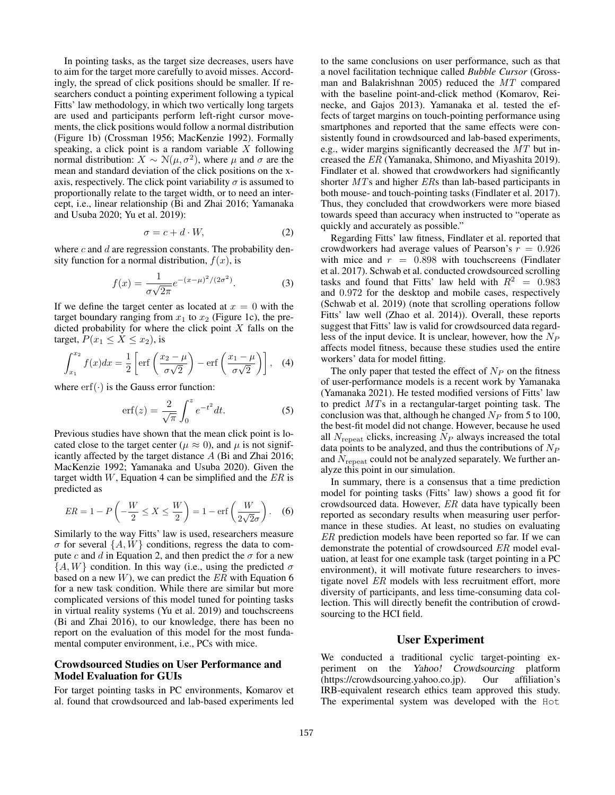In pointing tasks, as the target size decreases, users have to aim for the target more carefully to avoid misses. Accordingly, the spread of click positions should be smaller. If researchers conduct a pointing experiment following a typical Fitts' law methodology, in which two vertically long targets are used and participants perform left-right cursor movements, the click positions would follow a normal distribution (Figure 1b) (Crossman 1956; MacKenzie 1992). Formally speaking, a click point is a random variable  $X$  following normal distribution:  $X \sim \mathcal{N}(\mu, \sigma^2)$ , where  $\mu$  and  $\sigma$  are the mean and standard deviation of the click positions on the xaxis, respectively. The click point variability  $\sigma$  is assumed to proportionally relate to the target width, or to need an intercept, i.e., linear relationship (Bi and Zhai 2016; Yamanaka and Usuba 2020; Yu et al. 2019):

$$
\sigma = c + d \cdot W,\tag{2}
$$

where  $c$  and  $d$  are regression constants. The probability density function for a normal distribution,  $f(x)$ , is

$$
f(x) = \frac{1}{\sigma\sqrt{2\pi}}e^{-(x-\mu)^2/(2\sigma^2)}.
$$
 (3)

If we define the target center as located at  $x = 0$  with the target boundary ranging from  $x_1$  to  $x_2$  (Figure 1c), the predicted probability for where the click point  $X$  falls on the target,  $P(x_1 \leq X \leq x_2)$ , is

$$
\int_{x_1}^{x_2} f(x)dx = \frac{1}{2} \left[ \text{erf}\left(\frac{x_2 - \mu}{\sigma\sqrt{2}}\right) - \text{erf}\left(\frac{x_1 - \mu}{\sigma\sqrt{2}}\right) \right], \quad (4)
$$

where  $\text{erf}(\cdot)$  is the Gauss error function:

$$
\operatorname{erf}(z) = \frac{2}{\sqrt{\pi}} \int_0^z e^{-t^2} dt. \tag{5}
$$

Previous studies have shown that the mean click point is located close to the target center ( $\mu \approx 0$ ), and  $\mu$  is not significantly affected by the target distance A (Bi and Zhai 2016; MacKenzie 1992; Yamanaka and Usuba 2020). Given the target width  $W$ , Equation 4 can be simplified and the  $ER$  is predicted as

$$
ER = 1 - P\left(-\frac{W}{2} \le X \le \frac{W}{2}\right) = 1 - \text{erf}\left(\frac{W}{2\sqrt{2}\sigma}\right). \quad (6)
$$

Similarly to the way Fitts' law is used, researchers measure  $\sigma$  for several  $\{A, W\}$  conditions, regress the data to compute c and d in Equation 2, and then predict the  $\sigma$  for a new  $\{A, W\}$  condition. In this way (i.e., using the predicted  $\sigma$ based on a new  $W$ ), we can predict the  $ER$  with Equation 6 for a new task condition. While there are similar but more complicated versions of this model tuned for pointing tasks in virtual reality systems (Yu et al. 2019) and touchscreens (Bi and Zhai 2016), to our knowledge, there has been no report on the evaluation of this model for the most fundamental computer environment, i.e., PCs with mice.

## Crowdsourced Studies on User Performance and Model Evaluation for GUIs

For target pointing tasks in PC environments, Komarov et al. found that crowdsourced and lab-based experiments led

to the same conclusions on user performance, such as that a novel facilitation technique called *Bubble Cursor* (Grossman and Balakrishnan 2005) reduced the MT compared with the baseline point-and-click method (Komarov, Reinecke, and Gajos 2013). Yamanaka et al. tested the effects of target margins on touch-pointing performance using smartphones and reported that the same effects were consistently found in crowdsourced and lab-based experiments, e.g., wider margins significantly decreased the MT but increased the ER (Yamanaka, Shimono, and Miyashita 2019). Findlater et al. showed that crowdworkers had significantly shorter MTs and higher ERs than lab-based participants in both mouse- and touch-pointing tasks (Findlater et al. 2017). Thus, they concluded that crowdworkers were more biased towards speed than accuracy when instructed to "operate as quickly and accurately as possible."

Regarding Fitts' law fitness, Findlater et al. reported that crowdworkers had average values of Pearson's  $r = 0.926$ with mice and  $r = 0.898$  with touchscreens (Findlater et al. 2017). Schwab et al. conducted crowdsourced scrolling tasks and found that Fitts' law held with  $R^2 = 0.983$ and 0.972 for the desktop and mobile cases, respectively (Schwab et al. 2019) (note that scrolling operations follow Fitts' law well (Zhao et al. 2014)). Overall, these reports suggest that Fitts' law is valid for crowdsourced data regardless of the input device. It is unclear, however, how the  $N_P$ affects model fitness, because these studies used the entire workers' data for model fitting.

The only paper that tested the effect of  $N_P$  on the fitness of user-performance models is a recent work by Yamanaka (Yamanaka 2021). He tested modified versions of Fitts' law to predict MTs in a rectangular-target pointing task. The conclusion was that, although he changed  $N_P$  from 5 to 100, the best-fit model did not change. However, because he used all  $N_{\text{reheat}}$  clicks, increasing  $N_P$  always increased the total data points to be analyzed, and thus the contributions of  $N_P$ and  $N_{\text{repeat}}$  could not be analyzed separately. We further analyze this point in our simulation.

In summary, there is a consensus that a time prediction model for pointing tasks (Fitts' law) shows a good fit for crowdsourced data. However, ER data have typically been reported as secondary results when measuring user performance in these studies. At least, no studies on evaluating ER prediction models have been reported so far. If we can demonstrate the potential of crowdsourced ER model evaluation, at least for one example task (target pointing in a PC environment), it will motivate future researchers to investigate novel ER models with less recruitment effort, more diversity of participants, and less time-consuming data collection. This will directly benefit the contribution of crowdsourcing to the HCI field.

## User Experiment

We conducted a traditional cyclic target-pointing experiment on the Yahoo! Crowdsourcing platform (https://crowdsourcing.yahoo.co.jp). Our affiliation's IRB-equivalent research ethics team approved this study. The experimental system was developed with the Hot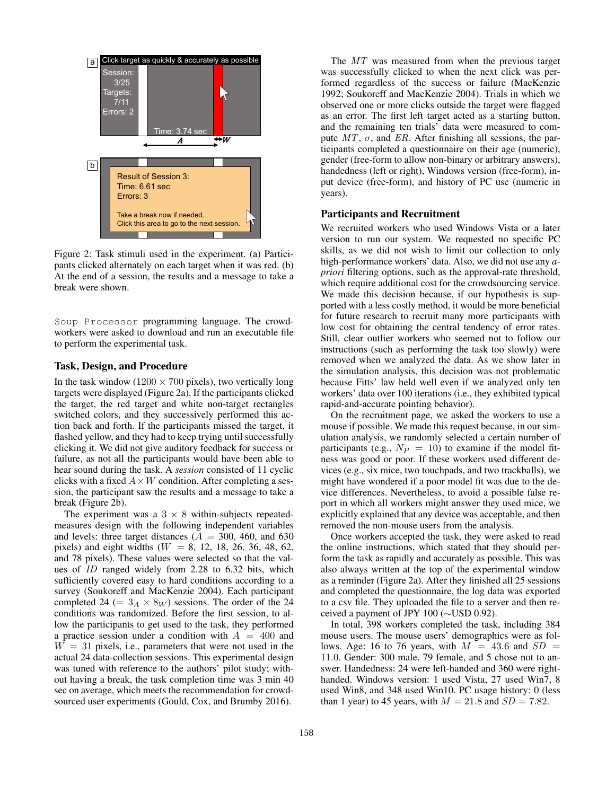

Figure 2: Task stimuli used in the experiment. (a) Participants clicked alternately on each target when it was red. (b) At the end of a session, the results and a message to take a break were shown.

Soup Processor programming language. The crowdworkers were asked to download and run an executable file to perform the experimental task.

#### Task, Design, and Procedure

In the task window ( $1200 \times 700$  pixels), two vertically long targets were displayed (Figure 2a). If the participants clicked the target, the red target and white non-target rectangles switched colors, and they successively performed this action back and forth. If the participants missed the target, it flashed yellow, and they had to keep trying until successfully clicking it. We did not give auditory feedback for success or failure, as not all the participants would have been able to hear sound during the task. A *session* consisted of 11 cyclic clicks with a fixed  $A \times W$  condition. After completing a session, the participant saw the results and a message to take a break (Figure 2b).

The experiment was a  $3 \times 8$  within-subjects repeatedmeasures design with the following independent variables and levels: three target distances ( $A = 300, 460,$  and 630 pixels) and eight widths ( $W = 8$ , 12, 18, 26, 36, 48, 62, and 78 pixels). These values were selected so that the values of ID ranged widely from 2.28 to 6.32 bits, which sufficiently covered easy to hard conditions according to a survey (Soukoreff and MacKenzie 2004). Each participant completed 24 (=  $3_A \times 8_W$ ) sessions. The order of the 24 conditions was randomized. Before the first session, to allow the participants to get used to the task, they performed a practice session under a condition with  $A = 400$  and  $W = 31$  pixels, i.e., parameters that were not used in the actual 24 data-collection sessions. This experimental design was tuned with reference to the authors' pilot study; without having a break, the task completion time was 3 min 40 sec on average, which meets the recommendation for crowdsourced user experiments (Gould, Cox, and Brumby 2016).

The MT was measured from when the previous target was successfully clicked to when the next click was performed regardless of the success or failure (MacKenzie 1992; Soukoreff and MacKenzie 2004). Trials in which we observed one or more clicks outside the target were flagged as an error. The first left target acted as a starting button, and the remaining ten trials' data were measured to compute  $MT$ ,  $\sigma$ , and ER. After finishing all sessions, the participants completed a questionnaire on their age (numeric), gender (free-form to allow non-binary or arbitrary answers), handedness (left or right), Windows version (free-form), input device (free-form), and history of PC use (numeric in years).

#### Participants and Recruitment

We recruited workers who used Windows Vista or a later version to run our system. We requested no specific PC skills, as we did not wish to limit our collection to only high-performance workers' data. Also, we did not use any *apriori* filtering options, such as the approval-rate threshold, which require additional cost for the crowdsourcing service. We made this decision because, if our hypothesis is supported with a less costly method, it would be more beneficial for future research to recruit many more participants with low cost for obtaining the central tendency of error rates. Still, clear outlier workers who seemed not to follow our instructions (such as performing the task too slowly) were removed when we analyzed the data. As we show later in the simulation analysis, this decision was not problematic because Fitts' law held well even if we analyzed only ten workers' data over 100 iterations (i.e., they exhibited typical rapid-and-accurate pointing behavior).

On the recruitment page, we asked the workers to use a mouse if possible. We made this request because, in our simulation analysis, we randomly selected a certain number of participants (e.g.,  $N_P = 10$ ) to examine if the model fitness was good or poor. If these workers used different devices (e.g., six mice, two touchpads, and two trackballs), we might have wondered if a poor model fit was due to the device differences. Nevertheless, to avoid a possible false report in which all workers might answer they used mice, we explicitly explained that any device was acceptable, and then removed the non-mouse users from the analysis.

Once workers accepted the task, they were asked to read the online instructions, which stated that they should perform the task as rapidly and accurately as possible. This was also always written at the top of the experimental window as a reminder (Figure 2a). After they finished all 25 sessions and completed the questionnaire, the log data was exported to a csv file. They uploaded the file to a server and then received a payment of JPY 100 (∼USD 0.92).

In total, 398 workers completed the task, including 384 mouse users. The mouse users' demographics were as follows. Age: 16 to 76 years, with  $M = 43.6$  and  $SD =$ 11.0. Gender: 300 male, 79 female, and 5 chose not to answer. Handedness: 24 were left-handed and 360 were righthanded. Windows version: 1 used Vista, 27 used Win7, 8 used Win8, and 348 used Win10. PC usage history: 0 (less than 1 year) to 45 years, with  $M = 21.8$  and  $SD = 7.82$ .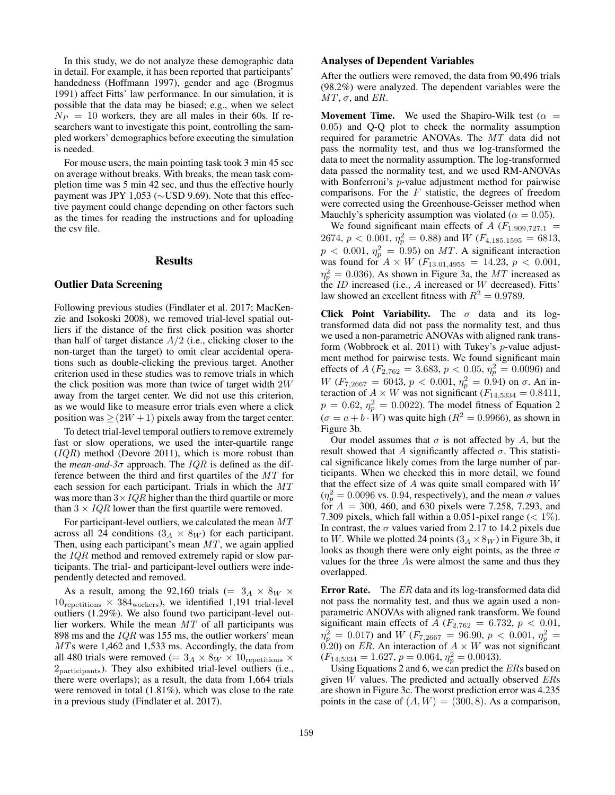In this study, we do not analyze these demographic data in detail. For example, it has been reported that participants' handedness (Hoffmann 1997), gender and age (Brogmus 1991) affect Fitts' law performance. In our simulation, it is possible that the data may be biased; e.g., when we select  $N_P = 10$  workers, they are all males in their 60s. If researchers want to investigate this point, controlling the sampled workers' demographics before executing the simulation is needed.

For mouse users, the main pointing task took 3 min 45 sec on average without breaks. With breaks, the mean task completion time was 5 min 42 sec, and thus the effective hourly payment was JPY 1,053 (∼USD 9.69). Note that this effective payment could change depending on other factors such as the times for reading the instructions and for uploading the csv file.

#### Results

#### Outlier Data Screening

Following previous studies (Findlater et al. 2017; MacKenzie and Isokoski 2008), we removed trial-level spatial outliers if the distance of the first click position was shorter than half of target distance  $A/2$  (i.e., clicking closer to the non-target than the target) to omit clear accidental operations such as double-clicking the previous target. Another criterion used in these studies was to remove trials in which the click position was more than twice of target width 2W away from the target center. We did not use this criterion, as we would like to measure error trials even where a click position was  $\geq (2W + 1)$  pixels away from the target center.

To detect trial-level temporal outliers to remove extremely fast or slow operations, we used the inter-quartile range  $(IQR)$  method (Devore 2011), which is more robust than the *mean-and-3* $\sigma$  approach. The *IQR* is defined as the difference between the third and first quartiles of the MT for each session for each participant. Trials in which the MT was more than  $3 \times IQR$  higher than the third quartile or more than  $3 \times IQR$  lower than the first quartile were removed.

For participant-level outliers, we calculated the mean MT across all 24 conditions  $(3_A \times 8_W)$  for each participant. Then, using each participant's mean  $MT$ , we again applied the IQR method and removed extremely rapid or slow participants. The trial- and participant-level outliers were independently detected and removed.

As a result, among the 92,160 trials (=  $3_A \times 8_W \times$  $10_{\rm repetitions} \times 384_{\rm workers}$ , we identified 1,191 trial-level outliers (1.29%). We also found two participant-level outlier workers. While the mean MT of all participants was 898 ms and the  $IQR$  was 155 ms, the outlier workers' mean MTs were 1,462 and 1,533 ms. Accordingly, the data from all 480 trials were removed (=  $3_A \times 8_W \times 10$ <sub>repetitions</sub>  $\times$  $2<sub>particinants</sub>$ ). They also exhibited trial-level outliers (i.e., there were overlaps); as a result, the data from 1,664 trials were removed in total (1.81%), which was close to the rate in a previous study (Findlater et al. 2017).

### Analyses of Dependent Variables

After the outliers were removed, the data from 90,496 trials (98.2%) were analyzed. The dependent variables were the  $MT$ ,  $\sigma$ , and ER.

**Movement Time.** We used the Shapiro-Wilk test ( $\alpha$  = 0.05) and Q-Q plot to check the normality assumption required for parametric ANOVAs. The MT data did not pass the normality test, and thus we log-transformed the data to meet the normality assumption. The log-transformed data passed the normality test, and we used RM-ANOVAs with Bonferroni's *p*-value adjustment method for pairwise comparisons. For the  $F$  statistic, the degrees of freedom were corrected using the Greenhouse-Geisser method when Mauchly's sphericity assumption was violated ( $\alpha = 0.05$ ).

We found significant main effects of A  $(F_{1.909,727.1}$  = 2674,  $p < 0.001$ ,  $\eta_p^2 = 0.88$ ) and W ( $F_{4.185,1595} = 6813$ ,  $p < 0.001$ ,  $\eta_p^2 = 0.95$ ) on MT. A significant interaction was found for  $A \times W$  ( $F_{13.01,4955} = 14.23$ ,  $p < 0.001$ ,  $\eta_p^2 = 0.036$ ). As shown in Figure 3a, the MT increased as the  $ID$  increased (i.e.,  $A$  increased or  $W$  decreased). Fitts' law showed an excellent fitness with  $R^2 = 0.9789$ .

Click Point Variability. The  $\sigma$  data and its logtransformed data did not pass the normality test, and thus we used a non-parametric ANOVAs with aligned rank transform (Wobbrock et al. 2011) with Tukey's  $p$ -value adjustment method for pairwise tests. We found significant main effects of A ( $F_{2,762} = 3.683$ ,  $p < 0.05$ ,  $\eta_p^2 = 0.0096$ ) and  $W(F_{7,2667} = 6043, p < 0.001, \eta_p^2 = 0.94)$  on  $\sigma$ . An interaction of  $A \times W$  was not significant ( $F_{14,5334} = 0.8411$ ,  $p = 0.62$ ,  $\eta_p^2 = 0.0022$ ). The model fitness of Equation 2  $(\sigma = a + b \cdot W)$  was quite high  $(R^2 = 0.9966)$ , as shown in Figure 3b.

Our model assumes that  $\sigma$  is not affected by A, but the result showed that A significantly affected  $\sigma$ . This statistical significance likely comes from the large number of participants. When we checked this in more detail, we found that the effect size of  $A$  was quite small compared with  $W$  $(\eta_p^2 = 0.0096 \text{ vs. } 0.94, \text{ respectively})$ , and the mean  $\sigma$  values for  $A = 300, 460,$  and 630 pixels were 7.258, 7.293, and 7.309 pixels, which fall within a 0.051-pixel range  $(< 1\%)$ . In contrast, the  $\sigma$  values varied from 2.17 to 14.2 pixels due to W. While we plotted 24 points  $(3_A \times 8_W)$  in Figure 3b, it looks as though there were only eight points, as the three  $\sigma$ values for the three As were almost the same and thus they overlapped.

**Error Rate.** The ER data and its log-transformed data did not pass the normality test, and thus we again used a nonparametric ANOVAs with aligned rank transform. We found significant main effects of A ( $F_{2,762} = 6.732$ ,  $p < 0.01$ ,  $\eta_p^2 = 0.017$ ) and  $W$  ( $F_{7,2667} = 96.90, p < 0.001, \eta_p^2 =$ 0.20) on ER. An interaction of  $A \times W$  was not significant  $(F_{14,5334} = 1.627, p = 0.064, \eta_p^2 = 0.0043).$ 

Using Equations 2 and 6, we can predict the ERs based on given  $W$  values. The predicted and actually observed  $ERs$ are shown in Figure 3c. The worst prediction error was 4.235 points in the case of  $(A, W) = (300, 8)$ . As a comparison,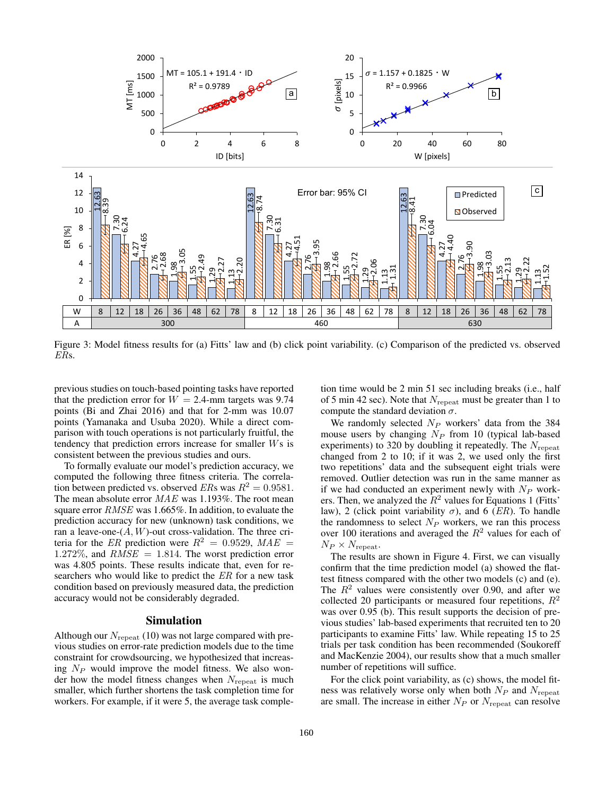

Figure 3: Model fitness results for (a) Fitts' law and (b) click point variability. (c) Comparison of the predicted vs. observed ERs.

previous studies on touch-based pointing tasks have reported that the prediction error for  $W = 2.4$ -mm targets was 9.74 points (Bi and Zhai 2016) and that for 2-mm was 10.07 points (Yamanaka and Usuba 2020). While a direct comparison with touch operations is not particularly fruitful, the tendency that prediction errors increase for smaller Ws is consistent between the previous studies and ours.

To formally evaluate our model's prediction accuracy, we computed the following three fitness criteria. The correlation between predicted vs. observed ERs was  $R^2 = 0.9581$ . The mean absolute error MAE was 1.193%. The root mean square error RMSE was 1.665%. In addition, to evaluate the prediction accuracy for new (unknown) task conditions, we ran a leave-one- $(A, W)$ -out cross-validation. The three criteria for the ER prediction were  $R^2 = 0.9529$ ,  $MAE =$  $1.272\%$ , and  $RMSE = 1.814$ . The worst prediction error was 4.805 points. These results indicate that, even for researchers who would like to predict the ER for a new task condition based on previously measured data, the prediction accuracy would not be considerably degraded.

## Simulation

Although our  $N_{\text{reheat}}$  (10) was not large compared with previous studies on error-rate prediction models due to the time constraint for crowdsourcing, we hypothesized that increasing  $N_P$  would improve the model fitness. We also wonder how the model fitness changes when  $N_{\text{repeat}}$  is much smaller, which further shortens the task completion time for workers. For example, if it were 5, the average task comple-

tion time would be 2 min 51 sec including breaks (i.e., half of 5 min 42 sec). Note that  $N_{\text{repeat}}$  must be greater than 1 to compute the standard deviation  $\sigma$ .

We randomly selected  $N_P$  workers' data from the 384 mouse users by changing  $N_P$  from 10 (typical lab-based experiments) to 320 by doubling it repeatedly. The  $N_{\rm repeat}$ changed from 2 to 10; if it was 2, we used only the first two repetitions' data and the subsequent eight trials were removed. Outlier detection was run in the same manner as if we had conducted an experiment newly with  $N_P$  workers. Then, we analyzed the  $R^2$  values for Equations 1 (Fitts' law), 2 (click point variability  $\sigma$ ), and 6 (*ER*). To handle the randomness to select  $N_P$  workers, we ran this process over 100 iterations and averaged the  $R^2$  values for each of  $N_P \times N_{\text{repeat}}$ .

The results are shown in Figure 4. First, we can visually confirm that the time prediction model (a) showed the flattest fitness compared with the other two models (c) and (e). The  $R<sup>2</sup>$  values were consistently over 0.90, and after we collected 20 participants or measured four repetitions,  $R^2$ was over 0.95 (b). This result supports the decision of previous studies' lab-based experiments that recruited ten to 20 participants to examine Fitts' law. While repeating 15 to 25 trials per task condition has been recommended (Soukoreff and MacKenzie 2004), our results show that a much smaller number of repetitions will suffice.

For the click point variability, as (c) shows, the model fitness was relatively worse only when both  $N_P$  and  $N_{\text{repeat}}$ are small. The increase in either  $N_P$  or  $N_{\text{repeated}}$  can resolve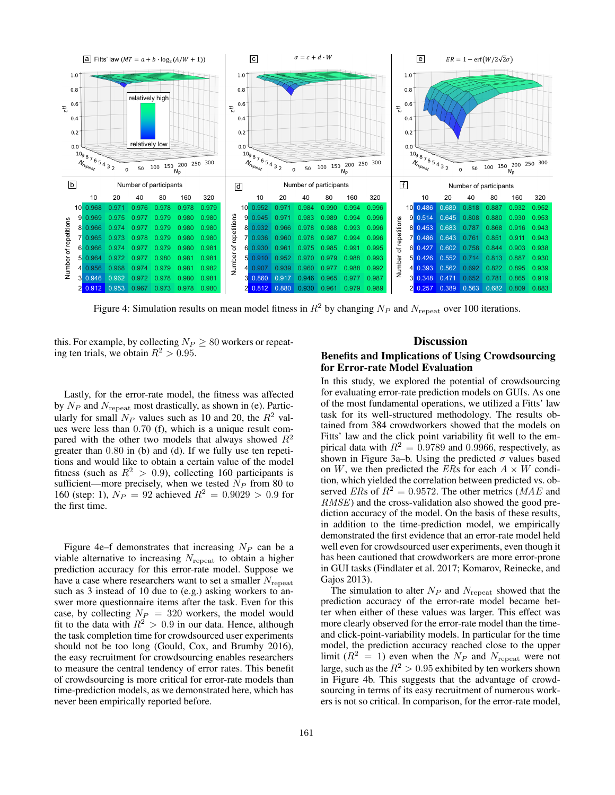

Figure 4: Simulation results on mean model fitness in  $R^2$  by changing  $N_P$  and  $N_{\text{repeat}}$  over 100 iterations.

this. For example, by collecting  $N_P \geq 80$  workers or repeating ten trials, we obtain  $R^2 > 0.95$ .

Lastly, for the error-rate model, the fitness was affected by  $N_P$  and  $N_{\text{repeat}}$  most drastically, as shown in (e). Particularly for small  $N_P$  values such as 10 and 20, the  $R^2$  values were less than 0.70 (f), which is a unique result compared with the other two models that always showed  $R^2$ greater than 0.80 in (b) and (d). If we fully use ten repetitions and would like to obtain a certain value of the model fitness (such as  $R^2 > 0.9$ ), collecting 160 participants is sufficient—more precisely, when we tested  $N_P$  from 80 to 160 (step: 1),  $N_P = 92$  achieved  $R^2 = 0.9029 > 0.9$  for the first time.

Figure 4e–f demonstrates that increasing  $N_P$  can be a viable alternative to increasing  $N_{\text{repeated}}$  to obtain a higher prediction accuracy for this error-rate model. Suppose we have a case where researchers want to set a smaller  $N_{\text{repeated}}$ such as 3 instead of 10 due to (e.g.) asking workers to answer more questionnaire items after the task. Even for this case, by collecting  $N_P = 320$  workers, the model would fit to the data with  $R^2 > 0.9$  in our data. Hence, although the task completion time for crowdsourced user experiments should not be too long (Gould, Cox, and Brumby 2016), the easy recruitment for crowdsourcing enables researchers to measure the central tendency of error rates. This benefit of crowdsourcing is more critical for error-rate models than time-prediction models, as we demonstrated here, which has never been empirically reported before.

#### **Discussion**

## Benefits and Implications of Using Crowdsourcing for Error-rate Model Evaluation

In this study, we explored the potential of crowdsourcing for evaluating error-rate prediction models on GUIs. As one of the most fundamental operations, we utilized a Fitts' law task for its well-structured methodology. The results obtained from 384 crowdworkers showed that the models on Fitts' law and the click point variability fit well to the empirical data with  $R^2 = 0.9789$  and 0.9966, respectively, as shown in Figure 3a–b. Using the predicted  $\sigma$  values based on W, we then predicted the ERs for each  $A \times W$  condition, which yielded the correlation between predicted vs. observed ERs of  $R^2 = 0.9572$ . The other metrics (MAE and RMSE) and the cross-validation also showed the good prediction accuracy of the model. On the basis of these results, in addition to the time-prediction model, we empirically demonstrated the first evidence that an error-rate model held well even for crowdsourced user experiments, even though it has been cautioned that crowdworkers are more error-prone in GUI tasks (Findlater et al. 2017; Komarov, Reinecke, and Gajos 2013).

The simulation to alter  $N_P$  and  $N_{\text{repeat}}$  showed that the prediction accuracy of the error-rate model became better when either of these values was larger. This effect was more clearly observed for the error-rate model than the timeand click-point-variability models. In particular for the time model, the prediction accuracy reached close to the upper limit ( $R^2 = 1$ ) even when the  $N_P$  and  $N_{\text{repeat}}$  were not large, such as the  $R^2 > 0.95$  exhibited by ten workers shown in Figure 4b. This suggests that the advantage of crowdsourcing in terms of its easy recruitment of numerous workers is not so critical. In comparison, for the error-rate model,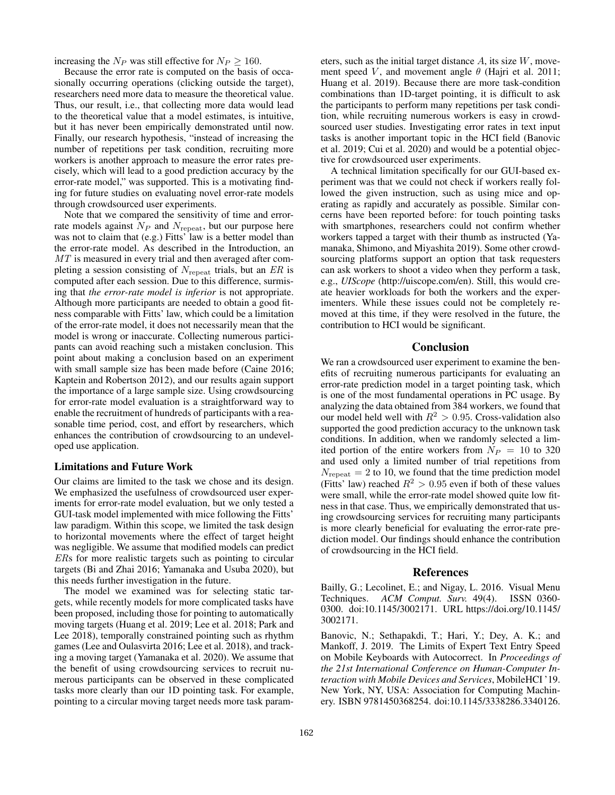increasing the  $N_P$  was still effective for  $N_P \ge 160$ .

Because the error rate is computed on the basis of occasionally occurring operations (clicking outside the target), researchers need more data to measure the theoretical value. Thus, our result, i.e., that collecting more data would lead to the theoretical value that a model estimates, is intuitive, but it has never been empirically demonstrated until now. Finally, our research hypothesis, "instead of increasing the number of repetitions per task condition, recruiting more workers is another approach to measure the error rates precisely, which will lead to a good prediction accuracy by the error-rate model," was supported. This is a motivating finding for future studies on evaluating novel error-rate models through crowdsourced user experiments.

Note that we compared the sensitivity of time and errorrate models against  $N_P$  and  $N_{\text{repeat}}$ , but our purpose here was not to claim that (e.g.) Fitts' law is a better model than the error-rate model. As described in the Introduction, an MT is measured in every trial and then averaged after completing a session consisting of  $N_{\text{repeat}}$  trials, but an ER is computed after each session. Due to this difference, surmising that *the error-rate model is inferior* is not appropriate. Although more participants are needed to obtain a good fitness comparable with Fitts' law, which could be a limitation of the error-rate model, it does not necessarily mean that the model is wrong or inaccurate. Collecting numerous participants can avoid reaching such a mistaken conclusion. This point about making a conclusion based on an experiment with small sample size has been made before (Caine 2016; Kaptein and Robertson 2012), and our results again support the importance of a large sample size. Using crowdsourcing for error-rate model evaluation is a straightforward way to enable the recruitment of hundreds of participants with a reasonable time period, cost, and effort by researchers, which enhances the contribution of crowdsourcing to an undeveloped use application.

#### Limitations and Future Work

Our claims are limited to the task we chose and its design. We emphasized the usefulness of crowdsourced user experiments for error-rate model evaluation, but we only tested a GUI-task model implemented with mice following the Fitts' law paradigm. Within this scope, we limited the task design to horizontal movements where the effect of target height was negligible. We assume that modified models can predict ERs for more realistic targets such as pointing to circular targets (Bi and Zhai 2016; Yamanaka and Usuba 2020), but this needs further investigation in the future.

The model we examined was for selecting static targets, while recently models for more complicated tasks have been proposed, including those for pointing to automatically moving targets (Huang et al. 2019; Lee et al. 2018; Park and Lee 2018), temporally constrained pointing such as rhythm games (Lee and Oulasvirta 2016; Lee et al. 2018), and tracking a moving target (Yamanaka et al. 2020). We assume that the benefit of using crowdsourcing services to recruit numerous participants can be observed in these complicated tasks more clearly than our 1D pointing task. For example, pointing to a circular moving target needs more task param-

eters, such as the initial target distance  $A$ , its size  $W$ , movement speed V, and movement angle  $\theta$  (Hajri et al. 2011; Huang et al. 2019). Because there are more task-condition combinations than 1D-target pointing, it is difficult to ask the participants to perform many repetitions per task condition, while recruiting numerous workers is easy in crowdsourced user studies. Investigating error rates in text input tasks is another important topic in the HCI field (Banovic et al. 2019; Cui et al. 2020) and would be a potential objective for crowdsourced user experiments.

A technical limitation specifically for our GUI-based experiment was that we could not check if workers really followed the given instruction, such as using mice and operating as rapidly and accurately as possible. Similar concerns have been reported before: for touch pointing tasks with smartphones, researchers could not confirm whether workers tapped a target with their thumb as instructed (Yamanaka, Shimono, and Miyashita 2019). Some other crowdsourcing platforms support an option that task requesters can ask workers to shoot a video when they perform a task, e.g., *UIScope* (http://uiscope.com/en). Still, this would create heavier workloads for both the workers and the experimenters. While these issues could not be completely removed at this time, if they were resolved in the future, the contribution to HCI would be significant.

# Conclusion

We ran a crowdsourced user experiment to examine the benefits of recruiting numerous participants for evaluating an error-rate prediction model in a target pointing task, which is one of the most fundamental operations in PC usage. By analyzing the data obtained from 384 workers, we found that our model held well with  $R^2 > 0.95$ . Cross-validation also supported the good prediction accuracy to the unknown task conditions. In addition, when we randomly selected a limited portion of the entire workers from  $N_P = 10$  to 320 and used only a limited number of trial repetitions from  $N_{\text{repeat}} = 2$  to 10, we found that the time prediction model (Fitts' law) reached  $R^2 > 0.95$  even if both of these values were small, while the error-rate model showed quite low fitness in that case. Thus, we empirically demonstrated that using crowdsourcing services for recruiting many participants is more clearly beneficial for evaluating the error-rate prediction model. Our findings should enhance the contribution of crowdsourcing in the HCI field.

#### References

Bailly, G.; Lecolinet, E.; and Nigay, L. 2016. Visual Menu Techniques. *ACM Comput. Surv.* 49(4). ISSN 0360- 0300. doi:10.1145/3002171. URL https://doi.org/10.1145/ 3002171.

Banovic, N.; Sethapakdi, T.; Hari, Y.; Dey, A. K.; and Mankoff, J. 2019. The Limits of Expert Text Entry Speed on Mobile Keyboards with Autocorrect. In *Proceedings of the 21st International Conference on Human-Computer Interaction with Mobile Devices and Services*, MobileHCI '19. New York, NY, USA: Association for Computing Machinery. ISBN 9781450368254. doi:10.1145/3338286.3340126.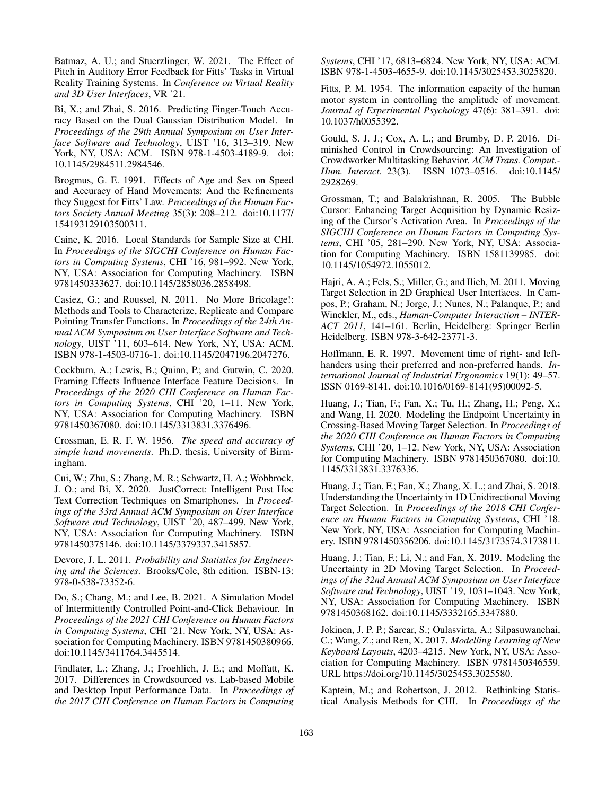Batmaz, A. U.; and Stuerzlinger, W. 2021. The Effect of Pitch in Auditory Error Feedback for Fitts' Tasks in Virtual Reality Training Systems. In *Conference on Virtual Reality and 3D User Interfaces*, VR '21.

Bi, X.; and Zhai, S. 2016. Predicting Finger-Touch Accuracy Based on the Dual Gaussian Distribution Model. In *Proceedings of the 29th Annual Symposium on User Interface Software and Technology*, UIST '16, 313–319. New York, NY, USA: ACM. ISBN 978-1-4503-4189-9. doi: 10.1145/2984511.2984546.

Brogmus, G. E. 1991. Effects of Age and Sex on Speed and Accuracy of Hand Movements: And the Refinements they Suggest for Fitts' Law. *Proceedings of the Human Factors Society Annual Meeting* 35(3): 208–212. doi:10.1177/ 154193129103500311.

Caine, K. 2016. Local Standards for Sample Size at CHI. In *Proceedings of the SIGCHI Conference on Human Factors in Computing Systems*, CHI '16, 981–992. New York, NY, USA: Association for Computing Machinery. ISBN 9781450333627. doi:10.1145/2858036.2858498.

Casiez, G.; and Roussel, N. 2011. No More Bricolage!: Methods and Tools to Characterize, Replicate and Compare Pointing Transfer Functions. In *Proceedings of the 24th Annual ACM Symposium on User Interface Software and Technology*, UIST '11, 603–614. New York, NY, USA: ACM. ISBN 978-1-4503-0716-1. doi:10.1145/2047196.2047276.

Cockburn, A.; Lewis, B.; Quinn, P.; and Gutwin, C. 2020. Framing Effects Influence Interface Feature Decisions. In *Proceedings of the 2020 CHI Conference on Human Factors in Computing Systems*, CHI '20, 1–11. New York, NY, USA: Association for Computing Machinery. ISBN 9781450367080. doi:10.1145/3313831.3376496.

Crossman, E. R. F. W. 1956. *The speed and accuracy of simple hand movements*. Ph.D. thesis, University of Birmingham.

Cui, W.; Zhu, S.; Zhang, M. R.; Schwartz, H. A.; Wobbrock, J. O.; and Bi, X. 2020. JustCorrect: Intelligent Post Hoc Text Correction Techniques on Smartphones. In *Proceedings of the 33rd Annual ACM Symposium on User Interface Software and Technology*, UIST '20, 487–499. New York, NY, USA: Association for Computing Machinery. ISBN 9781450375146. doi:10.1145/3379337.3415857.

Devore, J. L. 2011. *Probability and Statistics for Engineering and the Sciences*. Brooks/Cole, 8th edition. ISBN-13: 978-0-538-73352-6.

Do, S.; Chang, M.; and Lee, B. 2021. A Simulation Model of Intermittently Controlled Point-and-Click Behaviour. In *Proceedings of the 2021 CHI Conference on Human Factors in Computing Systems*, CHI '21. New York, NY, USA: Association for Computing Machinery. ISBN 9781450380966. doi:10.1145/3411764.3445514.

Findlater, L.; Zhang, J.; Froehlich, J. E.; and Moffatt, K. 2017. Differences in Crowdsourced vs. Lab-based Mobile and Desktop Input Performance Data. In *Proceedings of the 2017 CHI Conference on Human Factors in Computing* *Systems*, CHI '17, 6813–6824. New York, NY, USA: ACM. ISBN 978-1-4503-4655-9. doi:10.1145/3025453.3025820.

Fitts, P. M. 1954. The information capacity of the human motor system in controlling the amplitude of movement. *Journal of Experimental Psychology* 47(6): 381–391. doi: 10.1037/h0055392.

Gould, S. J. J.; Cox, A. L.; and Brumby, D. P. 2016. Diminished Control in Crowdsourcing: An Investigation of Crowdworker Multitasking Behavior. *ACM Trans. Comput.- Hum. Interact.* 23(3). ISSN 1073–0516. doi:10.1145/ 2928269.

Grossman, T.; and Balakrishnan, R. 2005. The Bubble Cursor: Enhancing Target Acquisition by Dynamic Resizing of the Cursor's Activation Area. In *Proceedings of the SIGCHI Conference on Human Factors in Computing Systems*, CHI '05, 281–290. New York, NY, USA: Association for Computing Machinery. ISBN 1581139985. doi: 10.1145/1054972.1055012.

Hajri, A. A.; Fels, S.; Miller, G.; and Ilich, M. 2011. Moving Target Selection in 2D Graphical User Interfaces. In Campos, P.; Graham, N.; Jorge, J.; Nunes, N.; Palanque, P.; and Winckler, M., eds., *Human-Computer Interaction – INTER-ACT 2011*, 141–161. Berlin, Heidelberg: Springer Berlin Heidelberg. ISBN 978-3-642-23771-3.

Hoffmann, E. R. 1997. Movement time of right- and lefthanders using their preferred and non-preferred hands. *International Journal of Industrial Ergonomics* 19(1): 49–57. ISSN 0169-8141. doi:10.1016/0169-8141(95)00092-5.

Huang, J.; Tian, F.; Fan, X.; Tu, H.; Zhang, H.; Peng, X.; and Wang, H. 2020. Modeling the Endpoint Uncertainty in Crossing-Based Moving Target Selection. In *Proceedings of the 2020 CHI Conference on Human Factors in Computing Systems*, CHI '20, 1–12. New York, NY, USA: Association for Computing Machinery. ISBN 9781450367080. doi:10. 1145/3313831.3376336.

Huang, J.; Tian, F.; Fan, X.; Zhang, X. L.; and Zhai, S. 2018. Understanding the Uncertainty in 1D Unidirectional Moving Target Selection. In *Proceedings of the 2018 CHI Conference on Human Factors in Computing Systems*, CHI '18. New York, NY, USA: Association for Computing Machinery. ISBN 9781450356206. doi:10.1145/3173574.3173811.

Huang, J.; Tian, F.; Li, N.; and Fan, X. 2019. Modeling the Uncertainty in 2D Moving Target Selection. In *Proceedings of the 32nd Annual ACM Symposium on User Interface Software and Technology*, UIST '19, 1031–1043. New York, NY, USA: Association for Computing Machinery. ISBN 9781450368162. doi:10.1145/3332165.3347880.

Jokinen, J. P. P.; Sarcar, S.; Oulasvirta, A.; Silpasuwanchai, C.; Wang, Z.; and Ren, X. 2017. *Modelling Learning of New Keyboard Layouts*, 4203–4215. New York, NY, USA: Association for Computing Machinery. ISBN 9781450346559. URL https://doi.org/10.1145/3025453.3025580.

Kaptein, M.; and Robertson, J. 2012. Rethinking Statistical Analysis Methods for CHI. In *Proceedings of the*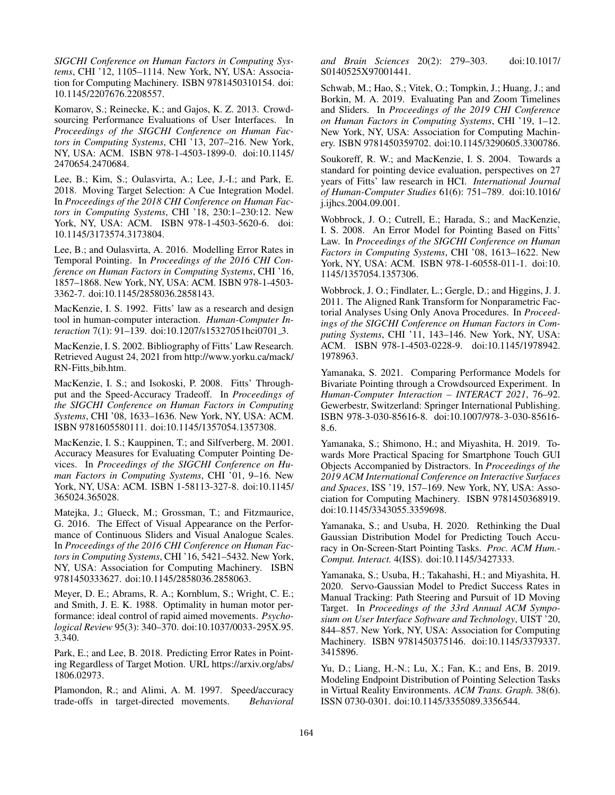*SIGCHI Conference on Human Factors in Computing Systems*, CHI '12, 1105–1114. New York, NY, USA: Association for Computing Machinery. ISBN 9781450310154. doi: 10.1145/2207676.2208557.

Komarov, S.; Reinecke, K.; and Gajos, K. Z. 2013. Crowdsourcing Performance Evaluations of User Interfaces. In *Proceedings of the SIGCHI Conference on Human Factors in Computing Systems*, CHI '13, 207–216. New York, NY, USA: ACM. ISBN 978-1-4503-1899-0. doi:10.1145/ 2470654.2470684.

Lee, B.; Kim, S.; Oulasvirta, A.; Lee, J.-I.; and Park, E. 2018. Moving Target Selection: A Cue Integration Model. In *Proceedings of the 2018 CHI Conference on Human Factors in Computing Systems*, CHI '18, 230:1–230:12. New York, NY, USA: ACM. ISBN 978-1-4503-5620-6. doi: 10.1145/3173574.3173804.

Lee, B.; and Oulasvirta, A. 2016. Modelling Error Rates in Temporal Pointing. In *Proceedings of the 2016 CHI Conference on Human Factors in Computing Systems*, CHI '16, 1857–1868. New York, NY, USA: ACM. ISBN 978-1-4503- 3362-7. doi:10.1145/2858036.2858143.

MacKenzie, I. S. 1992. Fitts' law as a research and design tool in human-computer interaction. *Human-Computer Interaction* 7(1): 91–139. doi:10.1207/s15327051hci0701 3.

MacKenzie, I. S. 2002. Bibliography of Fitts' Law Research. Retrieved August 24, 2021 from http://www.yorku.ca/mack/ RN-Fitts bib.htm.

MacKenzie, I. S.; and Isokoski, P. 2008. Fitts' Throughput and the Speed-Accuracy Tradeoff. In *Proceedings of the SIGCHI Conference on Human Factors in Computing Systems*, CHI '08, 1633–1636. New York, NY, USA: ACM. ISBN 9781605580111. doi:10.1145/1357054.1357308.

MacKenzie, I. S.; Kauppinen, T.; and Silfverberg, M. 2001. Accuracy Measures for Evaluating Computer Pointing Devices. In *Proceedings of the SIGCHI Conference on Human Factors in Computing Systems*, CHI '01, 9–16. New York, NY, USA: ACM. ISBN 1-58113-327-8. doi:10.1145/ 365024.365028.

Matejka, J.; Glueck, M.; Grossman, T.; and Fitzmaurice, G. 2016. The Effect of Visual Appearance on the Performance of Continuous Sliders and Visual Analogue Scales. In *Proceedings of the 2016 CHI Conference on Human Factors in Computing Systems*, CHI '16, 5421–5432. New York, NY, USA: Association for Computing Machinery. ISBN 9781450333627. doi:10.1145/2858036.2858063.

Meyer, D. E.; Abrams, R. A.; Kornblum, S.; Wright, C. E.; and Smith, J. E. K. 1988. Optimality in human motor performance: ideal control of rapid aimed movements. *Psychological Review* 95(3): 340–370. doi:10.1037/0033-295X.95. 3.340.

Park, E.; and Lee, B. 2018. Predicting Error Rates in Pointing Regardless of Target Motion. URL https://arxiv.org/abs/ 1806.02973.

Plamondon, R.; and Alimi, A. M. 1997. Speed/accuracy trade-offs in target-directed movements. *Behavioral*

*and Brain Sciences* 20(2): 279–303. doi:10.1017/ S0140525X97001441.

Schwab, M.; Hao, S.; Vitek, O.; Tompkin, J.; Huang, J.; and Borkin, M. A. 2019. Evaluating Pan and Zoom Timelines and Sliders. In *Proceedings of the 2019 CHI Conference on Human Factors in Computing Systems*, CHI '19, 1–12. New York, NY, USA: Association for Computing Machinery. ISBN 9781450359702. doi:10.1145/3290605.3300786.

Soukoreff, R. W.; and MacKenzie, I. S. 2004. Towards a standard for pointing device evaluation, perspectives on 27 years of Fitts' law research in HCI. *International Journal of Human-Computer Studies* 61(6): 751–789. doi:10.1016/ j.ijhcs.2004.09.001.

Wobbrock, J. O.; Cutrell, E.; Harada, S.; and MacKenzie, I. S. 2008. An Error Model for Pointing Based on Fitts' Law. In *Proceedings of the SIGCHI Conference on Human Factors in Computing Systems*, CHI '08, 1613–1622. New York, NY, USA: ACM. ISBN 978-1-60558-011-1. doi:10. 1145/1357054.1357306.

Wobbrock, J. O.; Findlater, L.; Gergle, D.; and Higgins, J. J. 2011. The Aligned Rank Transform for Nonparametric Factorial Analyses Using Only Anova Procedures. In *Proceedings of the SIGCHI Conference on Human Factors in Computing Systems*, CHI '11, 143–146. New York, NY, USA: ACM. ISBN 978-1-4503-0228-9. doi:10.1145/1978942. 1978963.

Yamanaka, S. 2021. Comparing Performance Models for Bivariate Pointing through a Crowdsourced Experiment. In *Human-Computer Interaction – INTERACT 2021*, 76–92. Gewerbestr, Switzerland: Springer International Publishing. ISBN 978-3-030-85616-8. doi:10.1007/978-3-030-85616- 8.6.

Yamanaka, S.; Shimono, H.; and Miyashita, H. 2019. Towards More Practical Spacing for Smartphone Touch GUI Objects Accompanied by Distractors. In *Proceedings of the 2019 ACM International Conference on Interactive Surfaces and Spaces*, ISS '19, 157–169. New York, NY, USA: Association for Computing Machinery. ISBN 9781450368919. doi:10.1145/3343055.3359698.

Yamanaka, S.; and Usuba, H. 2020. Rethinking the Dual Gaussian Distribution Model for Predicting Touch Accuracy in On-Screen-Start Pointing Tasks. *Proc. ACM Hum.- Comput. Interact.* 4(ISS). doi:10.1145/3427333.

Yamanaka, S.; Usuba, H.; Takahashi, H.; and Miyashita, H. 2020. Servo-Gaussian Model to Predict Success Rates in Manual Tracking: Path Steering and Pursuit of 1D Moving Target. In *Proceedings of the 33rd Annual ACM Symposium on User Interface Software and Technology*, UIST '20, 844–857. New York, NY, USA: Association for Computing Machinery. ISBN 9781450375146. doi:10.1145/3379337. 3415896.

Yu, D.; Liang, H.-N.; Lu, X.; Fan, K.; and Ens, B. 2019. Modeling Endpoint Distribution of Pointing Selection Tasks in Virtual Reality Environments. *ACM Trans. Graph.* 38(6). ISSN 0730-0301. doi:10.1145/3355089.3356544.